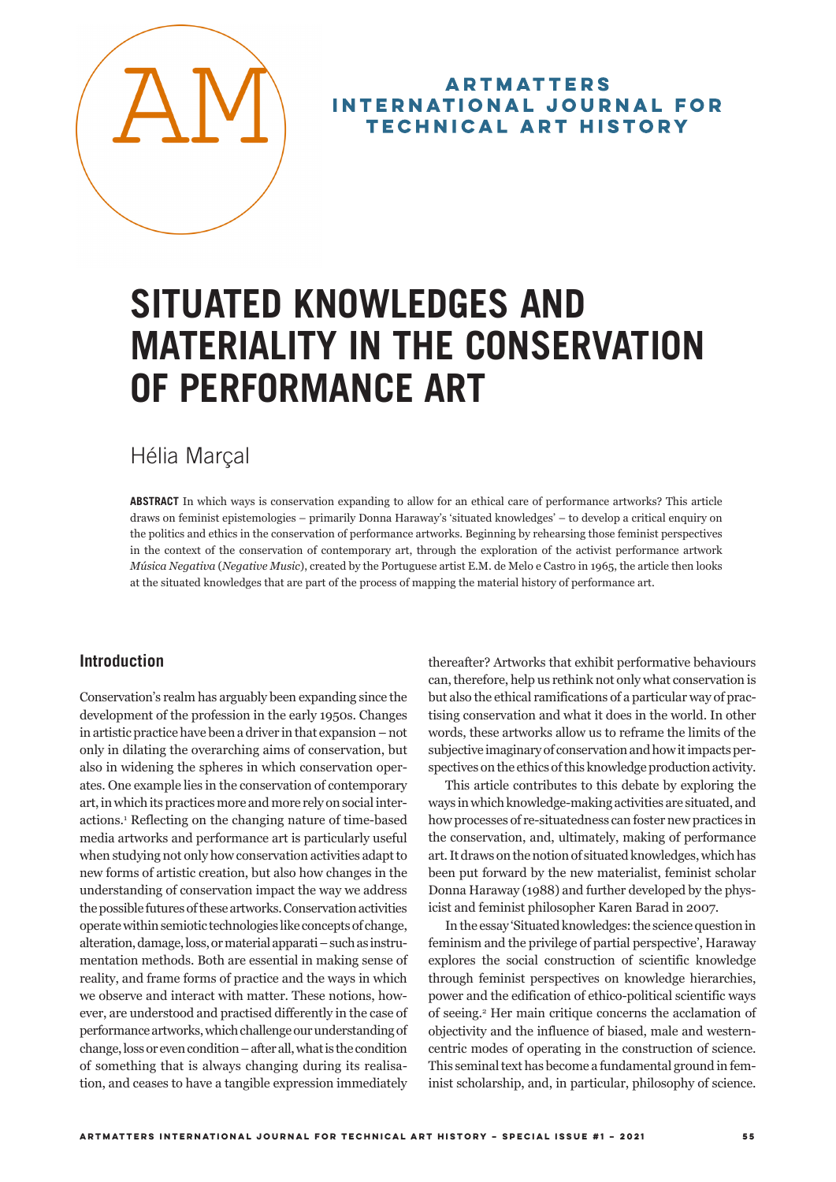

# **ARTMATTERS** INTERNATIONAL JOURNAL FOR **TECHNICAL ART HISTORY**

# **SITUATED KNOWLEDGES AND MATERIALITY IN THE CONSERVATION OF PERFORMANCE ART**

# Hélia Marçal

**ABSTRACT** In which ways is conservation expanding to allow for an ethical care of performance artworks? This article draws on feminist epistemologies – primarily Donna Haraway's 'situated knowledges' – to develop a critical enquiry on the politics and ethics in the conservation of performance artworks. Beginning by rehearsing those feminist perspectives in the context of the conservation of contemporary art, through the exploration of the activist performance artwork *Música Negativa* (*Negative Music*), created by the Portuguese artist E.M. de Melo e Castro in 1965, the article then looks at the situated knowledges that are part of the process of mapping the material history of performance art.

# **Introduction**

Conservation's realm has arguably been expanding since the development of the profession in the early 1950s. Changes in artistic practice have been a driver in that expansion–not only in dilating the overarching aims of conservation, but also in widening the spheres in which conservation operates. One example lies in the conservation of contemporary art, in which its practices more and more rely on social interactions.1 Reflecting on the changing nature of time-based media artworks and performance art is particularly useful when studying not only how conservation activities adapt to new forms of artistic creation, but also how changes in the understanding of conservation impact the way we address the possible futures of these artworks. Conservation activities operate within semiotic technologies like concepts of change, alteration, damage, loss, or material apparati–such as instrumentation methods. Both are essential in making sense of reality, and frame forms of practice and the ways in which we observe and interact with matter. These notions, however, are understood and practised differently in the case of performance artworks, which challenge our understanding of change, loss or even condition–after all, what is the condition of something that is always changing during its realisation, and ceases to have a tangible expression immediately

thereafter? Artworks that exhibit performative behaviours can, therefore, help us rethink not only what conservation is but also the ethical ramifications of a particular way of practising conservation and what it does in the world. In other words, these artworks allow us to reframe the limits of the subjective imaginary of conservation and how it impacts perspectives on the ethics of this knowledge production activity.

This article contributes to this debate by exploring the ways in which knowledge-making activities are situated, and how processes of re-situatedness can foster new practices in the conservation, and, ultimately, making of performance art. It draws on the notion of situated knowledges, which has been put forward by the new materialist, feminist scholar Donna Haraway (1988) and further developed by the physicist and feminist philosopher Karen Barad in 2007.

In the essay 'Situated knowledges: the science question in feminism and the privilege of partial perspective', Haraway explores the social construction of scientific knowledge through feminist perspectives on knowledge hierarchies, power and the edification of ethico-political scientific ways of seeing.2 Her main critique concerns the acclamation of objectivity and the influence of biased, male and westerncentric modes of operating in the construction of science. This seminal text has become a fundamental ground in feminist scholarship, and, in particular, philosophy of science.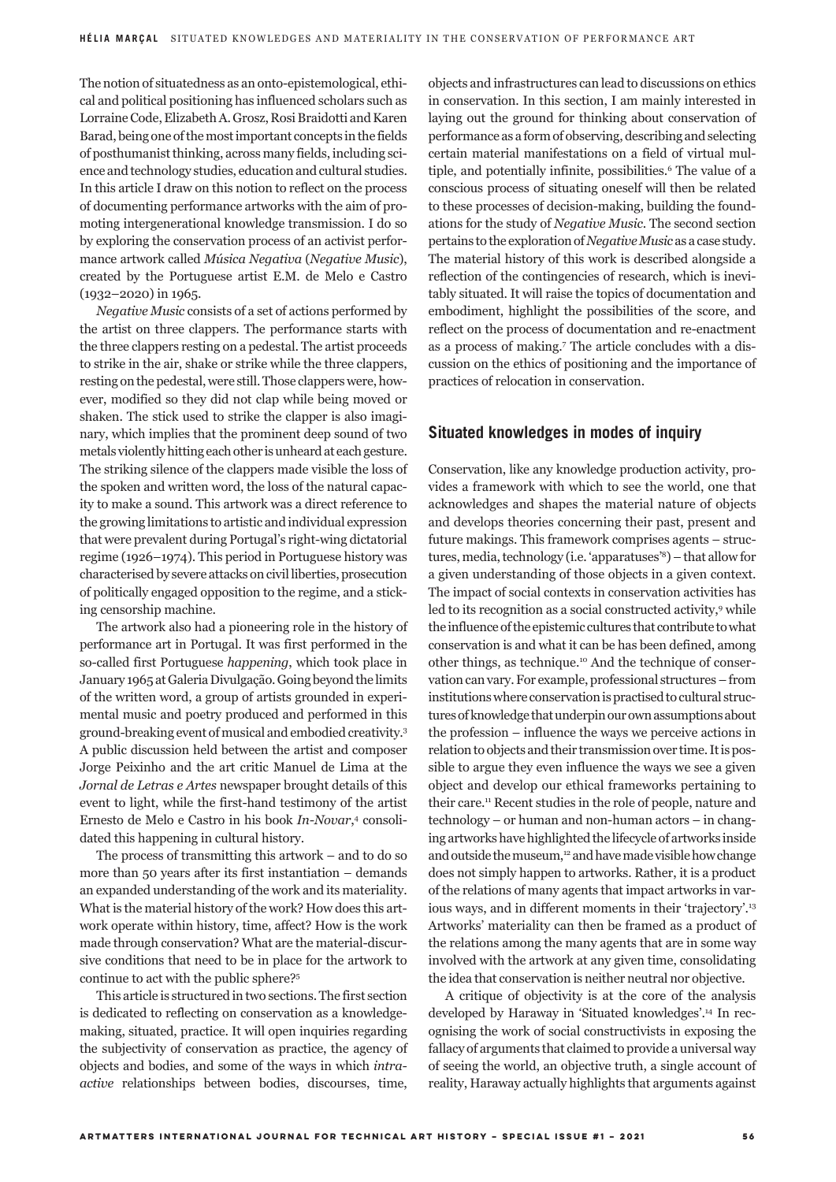The notion of situatedness as an onto-epistemological, ethical and political positioning has influenced scholars such as Lorraine Code, Elizabeth A. Grosz, Rosi Braidotti and Karen Barad, being one of the most important concepts in the fields of posthumanist thinking, across many fields, including science and technology studies, education and cultural studies. In this article I draw on this notion to reflect on the process of documenting performance artworks with the aim of promoting intergenerational knowledge transmission. I do so by exploring the conservation process of an activist performance artwork called *Música Negativa* (*Negative Music*), created by the Portuguese artist E.M. de Melo e Castro (1932–2020) in 1965.

*Negative Music* consists of a set of actions performed by the artist on three clappers. The performance starts with the three clappers resting on a pedestal. The artist proceeds to strike in the air, shake or strike while the three clappers, resting on the pedestal, were still. Those clappers were, however, modified so they did not clap while being moved or shaken. The stick used to strike the clapper is also imaginary, which implies that the prominent deep sound of two metals violently hitting each other is unheard at each gesture. The striking silence of the clappers made visible the loss of the spoken and written word, the loss of the natural capacity to make a sound. This artwork was a direct reference to the growing limitations to artistic and individual expression that were prevalent during Portugal's right-wing dictatorial regime (1926–1974). This period in Portuguese history was characterised by severe attacks on civil liberties, prosecution of politically engaged opposition to the regime, and a sticking censorship machine.

The artwork also had a pioneering role in the history of performance art in Portugal. It was first performed in the so-called first Portuguese *happening*, which took place in January 1965 at Galeria Divulgação. Going beyond the limits of the written word, a group of artists grounded in experimental music and poetry produced and performed in this ground-breaking event of musical and embodied creativity.3 A public discussion held between the artist and composer Jorge Peixinho and the art critic Manuel de Lima at the *Jornal de Letras e Artes* newspaper brought details of this event to light, while the first-hand testimony of the artist Ernesto de Melo e Castro in his book *In-Novar*, 4 consolidated this happening in cultural history.

The process of transmitting this artwork – and to do so more than 50 years after its first instantiation – demands an expanded understanding of the work and its materiality. What is the material history of the work? How does this artwork operate within history, time, affect? How is the work made through conservation? What are the material-discursive conditions that need to be in place for the artwork to continue to act with the public sphere?5

This article is structured in two sections. The first section is dedicated to reflecting on conservation as a knowledgemaking, situated, practice. It will open inquiries regarding the subjectivity of conservation as practice, the agency of objects and bodies, and some of the ways in which *intraactive* relationships between bodies, discourses, time,

objects and infrastructures can lead to discussions on ethics in conservation. In this section, I am mainly interested in laying out the ground for thinking about conservation of performance as a form of observing, describing and selecting certain material manifestations on a field of virtual multiple, and potentially infinite, possibilities.<sup>6</sup> The value of a conscious process of situating oneself will then be related to these processes of decision-making, building the foundations for the study of *Negative Music*. The second section pertains to the exploration of *Negative Music* as a case study. The material history of this work is described alongside a reflection of the contingencies of research, which is inevitably situated. It will raise the topics of documentation and embodiment, highlight the possibilities of the score, and reflect on the process of documentation and re-enactment as a process of making.7 The article concludes with a discussion on the ethics of positioning and the importance of practices of relocation in conservation.

#### **Situated knowledges in modes of inquiry**

Conservation, like any knowledge production activity, provides a framework with which to see the world, one that acknowledges and shapes the material nature of objects and develops theories concerning their past, present and future makings. This framework comprises agents – structures, media, technology (i.e. 'apparatuses'8)–that allow for a given understanding of those objects in a given context. The impact of social contexts in conservation activities has led to its recognition as a social constructed activity,<sup>9</sup> while the influence of the epistemic cultures that contribute to what conservation is and what it can be has been defined, among other things, as technique.10 And the technique of conservation can vary. For example, professional structures–from institutions where conservation is practised to cultural structures of knowledge that underpin our own assumptions about the profession – influence the ways we perceive actions in relation to objects and their transmission over time. It is possible to argue they even influence the ways we see a given object and develop our ethical frameworks pertaining to their care.11 Recent studies in the role of people, nature and technology – or human and non-human actors – in changing artworks have highlighted the lifecycle of artworks inside and outside the museum,<sup>12</sup> and have made visible how change does not simply happen to artworks. Rather, it is a product of the relations of many agents that impact artworks in various ways, and in different moments in their 'trajectory'.13 Artworks' materiality can then be framed as a product of the relations among the many agents that are in some way involved with the artwork at any given time, consolidating the idea that conservation is neither neutral nor objective.

A critique of objectivity is at the core of the analysis developed by Haraway in 'Situated knowledges'.14 In recognising the work of social constructivists in exposing the fallacy of arguments that claimed to provide a universal way of seeing the world, an objective truth, a single account of reality, Haraway actually highlights that arguments against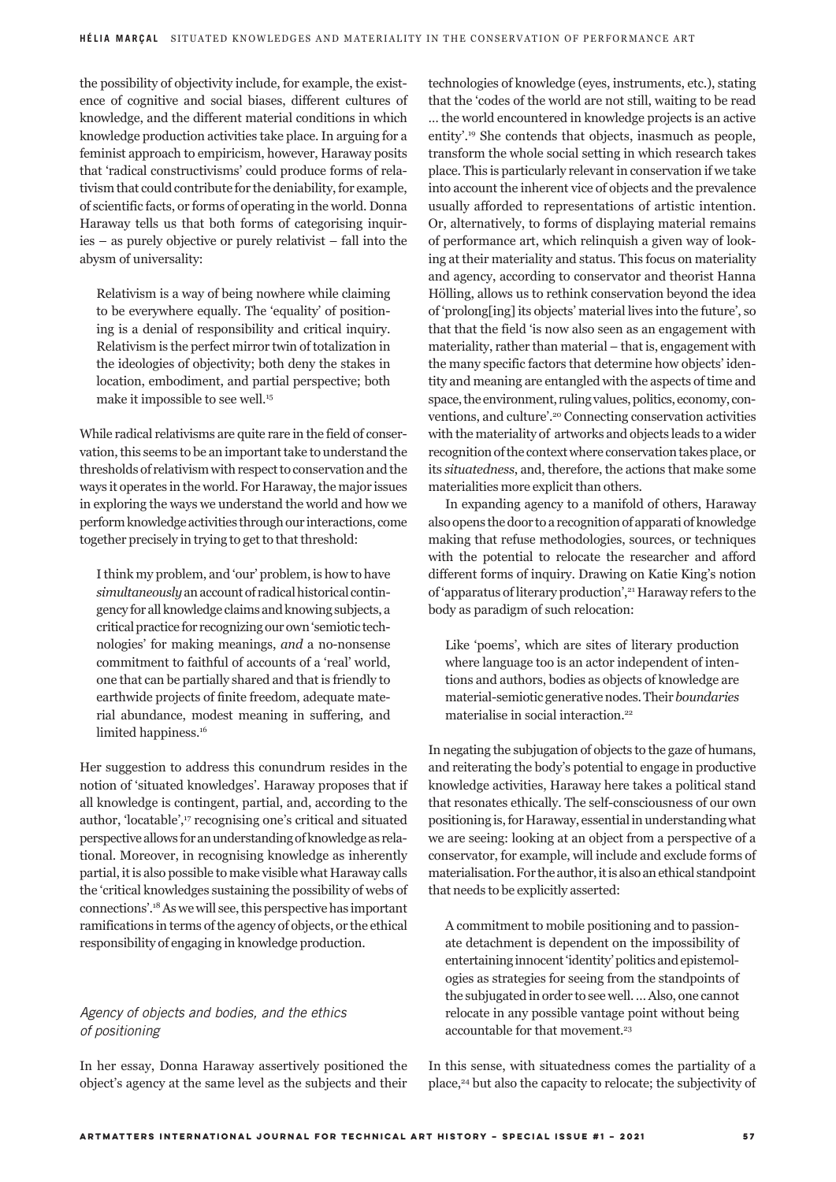the possibility of objectivity include, for example, the existence of cognitive and social biases, different cultures of knowledge, and the different material conditions in which knowledge production activities take place. In arguing for a feminist approach to empiricism, however, Haraway posits that 'radical constructivisms' could produce forms of relativism that could contribute for the deniability, for example, of scientific facts, or forms of operating in the world. Donna Haraway tells us that both forms of categorising inquiries – as purely objective or purely relativist – fall into the abysm of universality:

Relativism is a way of being nowhere while claiming to be everywhere equally. The 'equality' of positioning is a denial of responsibility and critical inquiry. Relativism is the perfect mirror twin of totalization in the ideologies of objectivity; both deny the stakes in location, embodiment, and partial perspective; both make it impossible to see well.<sup>15</sup>

While radical relativisms are quite rare in the field of conservation, this seems to be an important take to understand the thresholds of relativism with respect to conservation and the ways it operates in the world. For Haraway, the major issues in exploring the ways we understand the world and how we perform knowledge activities through our interactions, come together precisely in trying to get to that threshold:

I think my problem, and 'our' problem, is how to have *simultaneously* an account of radical historical contingency for all knowledge claims and knowing subjects, a critical practice for recognizing our own 'semiotic technologies' for making meanings, *and* a no-nonsense commitment to faithful of accounts of a 'real' world, one that can be partially shared and that is friendly to earthwide projects of finite freedom, adequate material abundance, modest meaning in suffering, and limited happiness.<sup>16</sup>

Her suggestion to address this conundrum resides in the notion of 'situated knowledges'. Haraway proposes that if all knowledge is contingent, partial, and, according to the author, 'locatable',<sup>17</sup> recognising one's critical and situated perspective allows for an understanding of knowledge as relational. Moreover, in recognising knowledge as inherently partial, it is also possible to make visible what Haraway calls the 'critical knowledges sustaining the possibility of webs of connections'.18 As we will see, this perspective has important ramifications in terms of the agency of objects, or the ethical responsibility of engaging in knowledge production.

# *Agency of objects and bodies, and the ethics of positioning*

In her essay, Donna Haraway assertively positioned the object's agency at the same level as the subjects and their technologies of knowledge (eyes, instruments, etc.), stating that the 'codes of the world are not still, waiting to be read … the world encountered in knowledge projects is an active entity'.19 She contends that objects, inasmuch as people, transform the whole social setting in which research takes place. This is particularly relevant in conservation if we take into account the inherent vice of objects and the prevalence usually afforded to representations of artistic intention. Or, alternatively, to forms of displaying material remains of performance art, which relinquish a given way of looking at their materiality and status. This focus on materiality and agency, according to conservator and theorist Hanna Hölling, allows us to rethink conservation beyond the idea of 'prolong[ing] its objects' material lives into the future', so that that the field 'is now also seen as an engagement with materiality, rather than material – that is, engagement with the many specific factors that determine how objects' identity and meaning are entangled with the aspects of time and space, the environment, ruling values, politics, economy, conventions, and culture'.20 Connecting conservation activities with the materiality of artworks and objects leads to a wider recognition of the context where conservation takes place, or its *situatedness*, and, therefore, the actions that make some materialities more explicit than others.

In expanding agency to a manifold of others, Haraway also opens the door to a recognition of apparati of knowledge making that refuse methodologies, sources, or techniques with the potential to relocate the researcher and afford different forms of inquiry. Drawing on Katie King's notion of 'apparatus of literary production',<sup>21</sup> Haraway refers to the body as paradigm of such relocation:

Like 'poems', which are sites of literary production where language too is an actor independent of intentions and authors, bodies as objects of knowledge are material-semiotic generative nodes. Their *boundaries*  materialise in social interaction.<sup>22</sup>

In negating the subjugation of objects to the gaze of humans, and reiterating the body's potential to engage in productive knowledge activities, Haraway here takes a political stand that resonates ethically. The self-consciousness of our own positioning is, for Haraway, essential in understanding what we are seeing: looking at an object from a perspective of a conservator, for example, will include and exclude forms of materialisation. For the author, it is also an ethical standpoint that needs to be explicitly asserted:

A commitment to mobile positioning and to passionate detachment is dependent on the impossibility of entertaining innocent 'identity' politics and epistemologies as strategies for seeing from the standpoints of the subjugated in order to see well. … Also, one cannot relocate in any possible vantage point without being accountable for that movement.<sup>23</sup>

In this sense, with situatedness comes the partiality of a place,<sup>24</sup> but also the capacity to relocate; the subjectivity of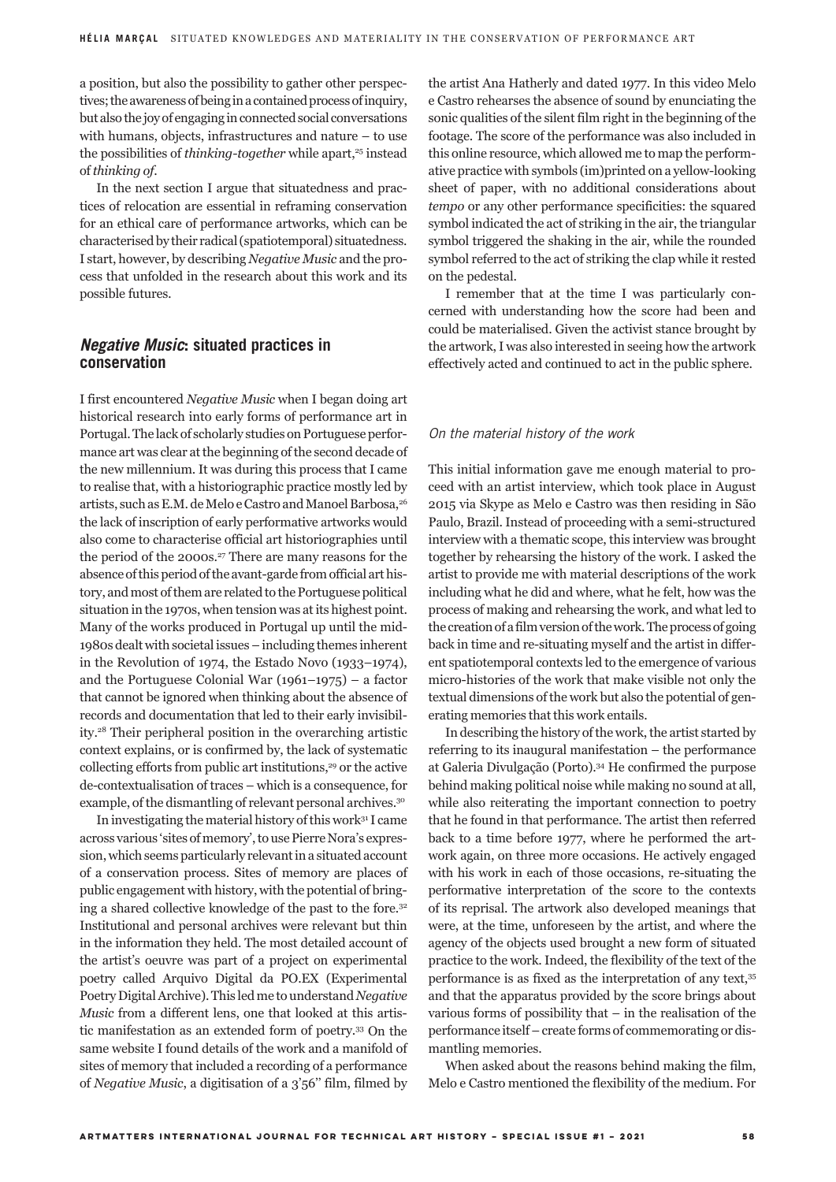a position, but also the possibility to gather other perspectives; the awareness of being in a contained process of inquiry, but also the joy of engaging in connected social conversations with humans, objects, infrastructures and nature – to use the possibilities of *thinking-together* while apart,<sup>25</sup> instead of *thinking of*.

In the next section I argue that situatedness and practices of relocation are essential in reframing conservation for an ethical care of performance artworks, which can be characterised by their radical (spatiotemporal) situatedness. I start, however, by describing *Negative Music* and the process that unfolded in the research about this work and its possible futures*.* 

# *Negative Music***: situated practices in conservation**

I first encountered *Negative Music* when I began doing art historical research into early forms of performance art in Portugal. The lack of scholarly studies on Portuguese performance art was clear at the beginning of the second decade of the new millennium. It was during this process that I came to realise that, with a historiographic practice mostly led by artists, such as E.M. de Melo e Castro and Manoel Barbosa,<sup>26</sup> the lack of inscription of early performative artworks would also come to characterise official art historiographies until the period of the 2000s.<sup>27</sup> There are many reasons for the absence of this period of the avant-garde from official art history, and most of them are related to the Portuguese political situation in the 1970s, when tension was at its highest point. Many of the works produced in Portugal up until the mid-1980s dealt with societal issues–including themes inherent in the Revolution of 1974, the Estado Novo (1933–1974), and the Portuguese Colonial War (1961–1975) – a factor that cannot be ignored when thinking about the absence of records and documentation that led to their early invisibility.28 Their peripheral position in the overarching artistic context explains, or is confirmed by, the lack of systematic collecting efforts from public art institutions,<sup>29</sup> or the active de-contextualisation of traces – which is a consequence, for example, of the dismantling of relevant personal archives.30

In investigating the material history of this work31 I came across various 'sites of memory', to use Pierre Nora's expression, which seems particularly relevant in a situated account of a conservation process. Sites of memory are places of public engagement with history, with the potential of bringing a shared collective knowledge of the past to the fore.32 Institutional and personal archives were relevant but thin in the information they held. The most detailed account of the artist's oeuvre was part of a project on experimental poetry called Arquivo Digital da PO.EX (Experimental Poetry Digital Archive). This led me to understand *Negative Music* from a different lens, one that looked at this artistic manifestation as an extended form of poetry.33 On the same website I found details of the work and a manifold of sites of memory that included a recording of a performance of *Negative Music*, a digitisation of a 3'56'' film, filmed by the artist Ana Hatherly and dated 1977. In this video Melo e Castro rehearses the absence of sound by enunciating the sonic qualities of the silent film right in the beginning of the footage. The score of the performance was also included in this online resource, which allowed me to map the performative practice with symbols (im)printed on a yellow-looking sheet of paper, with no additional considerations about *tempo* or any other performance specificities: the squared symbol indicated the act of striking in the air, the triangular symbol triggered the shaking in the air, while the rounded symbol referred to the act of striking the clap while it rested on the pedestal.

I remember that at the time I was particularly concerned with understanding how the score had been and could be materialised. Given the activist stance brought by the artwork, I was also interested in seeing how the artwork effectively acted and continued to act in the public sphere.

#### *On the material history of the work*

This initial information gave me enough material to proceed with an artist interview, which took place in August 2015 via Skype as Melo e Castro was then residing in São Paulo, Brazil. Instead of proceeding with a semi-structured interview with a thematic scope, this interview was brought together by rehearsing the history of the work. I asked the artist to provide me with material descriptions of the work including what he did and where, what he felt, how was the process of making and rehearsing the work, and what led to the creation of a film version of the work. The process of going back in time and re-situating myself and the artist in different spatiotemporal contexts led to the emergence of various micro-histories of the work that make visible not only the textual dimensions of the work but also the potential of generating memories that this work entails.

In describing the history of the work, the artist started by referring to its inaugural manifestation – the performance at Galeria Divulgação (Porto).34 He confirmed the purpose behind making political noise while making no sound at all, while also reiterating the important connection to poetry that he found in that performance. The artist then referred back to a time before 1977, where he performed the artwork again, on three more occasions. He actively engaged with his work in each of those occasions, re-situating the performative interpretation of the score to the contexts of its reprisal. The artwork also developed meanings that were, at the time, unforeseen by the artist, and where the agency of the objects used brought a new form of situated practice to the work. Indeed, the flexibility of the text of the performance is as fixed as the interpretation of any text,35 and that the apparatus provided by the score brings about various forms of possibility that  $-$  in the realisation of the performance itself–create forms of commemorating or dismantling memories.

When asked about the reasons behind making the film, Melo e Castro mentioned the flexibility of the medium. For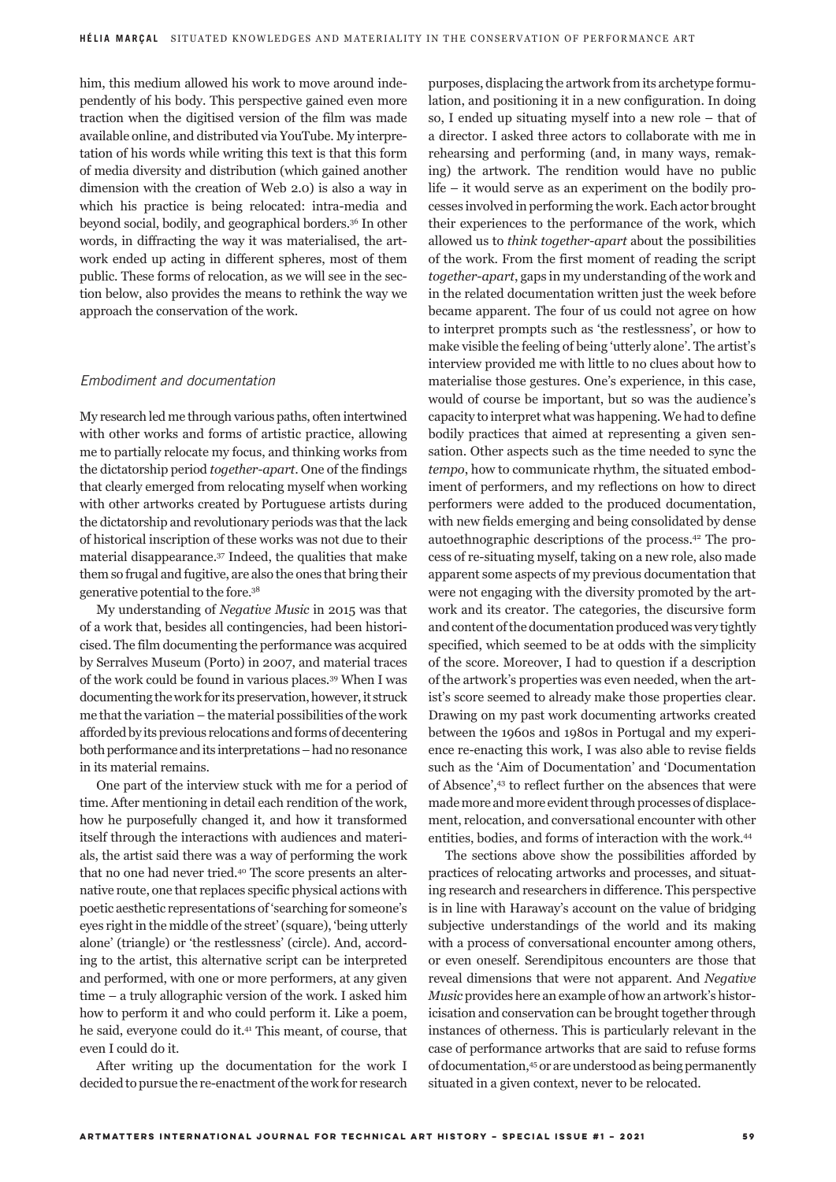him, this medium allowed his work to move around independently of his body. This perspective gained even more traction when the digitised version of the film was made available online, and distributed via YouTube. My interpretation of his words while writing this text is that this form of media diversity and distribution (which gained another dimension with the creation of Web 2.0) is also a way in which his practice is being relocated: intra-media and beyond social, bodily, and geographical borders.36 In other words, in diffracting the way it was materialised, the artwork ended up acting in different spheres, most of them public. These forms of relocation, as we will see in the section below, also provides the means to rethink the way we approach the conservation of the work.

#### *Embodiment and documentation*

My research led me through various paths, often intertwined with other works and forms of artistic practice, allowing me to partially relocate my focus, and thinking works from the dictatorship period *together-apart*. One of the findings that clearly emerged from relocating myself when working with other artworks created by Portuguese artists during the dictatorship and revolutionary periods was that the lack of historical inscription of these works was not due to their material disappearance.37 Indeed, the qualities that make them so frugal and fugitive, are also the ones that bring their generative potential to the fore.38

My understanding of *Negative Music* in 2015 was that of a work that, besides all contingencies, had been historicised. The film documenting the performance was acquired by Serralves Museum (Porto) in 2007, and material traces of the work could be found in various places.39 When I was documenting the work for its preservation, however, it struck me that the variation – the material possibilities of the work afforded by its previous relocations and forms of decentering both performance and its interpretations–had no resonance in its material remains.

One part of the interview stuck with me for a period of time. After mentioning in detail each rendition of the work, how he purposefully changed it, and how it transformed itself through the interactions with audiences and materials, the artist said there was a way of performing the work that no one had never tried.40 The score presents an alternative route, one that replaces specific physical actions with poetic aesthetic representations of 'searching for someone's eyes right in the middle of the street' (square), 'being utterly alone' (triangle) or 'the restlessness' (circle). And, according to the artist, this alternative script can be interpreted and performed, with one or more performers, at any given time – a truly allographic version of the work. I asked him how to perform it and who could perform it. Like a poem, he said, everyone could do it.41 This meant, of course, that even I could do it.

After writing up the documentation for the work I decided to pursue the re-enactment of the work for research

purposes, displacing the artwork from its archetype formulation, and positioning it in a new configuration. In doing so, I ended up situating myself into a new role – that of a director. I asked three actors to collaborate with me in rehearsing and performing (and, in many ways, remaking) the artwork. The rendition would have no public life – it would serve as an experiment on the bodily processes involved in performing the work. Each actor brought their experiences to the performance of the work, which allowed us to *think together-apart* about the possibilities of the work. From the first moment of reading the script *together-apart*, gaps in my understanding of the work and in the related documentation written just the week before became apparent. The four of us could not agree on how to interpret prompts such as 'the restlessness', or how to make visible the feeling of being 'utterly alone'. The artist's interview provided me with little to no clues about how to materialise those gestures. One's experience, in this case, would of course be important, but so was the audience's capacity to interpret what was happening. We had to define bodily practices that aimed at representing a given sensation. Other aspects such as the time needed to sync the *tempo*, how to communicate rhythm, the situated embodiment of performers, and my reflections on how to direct performers were added to the produced documentation, with new fields emerging and being consolidated by dense autoethnographic descriptions of the process.42 The process of re-situating myself, taking on a new role, also made apparent some aspects of my previous documentation that were not engaging with the diversity promoted by the artwork and its creator. The categories, the discursive form and content of the documentation produced was very tightly specified, which seemed to be at odds with the simplicity of the score. Moreover, I had to question if a description of the artwork's properties was even needed, when the artist's score seemed to already make those properties clear. Drawing on my past work documenting artworks created between the 1960s and 1980s in Portugal and my experience re-enacting this work, I was also able to revise fields such as the 'Aim of Documentation' and 'Documentation of Absence',43 to reflect further on the absences that were made more and more evident through processes of displacement, relocation, and conversational encounter with other entities, bodies, and forms of interaction with the work.44

The sections above show the possibilities afforded by practices of relocating artworks and processes, and situating research and researchers in difference. This perspective is in line with Haraway's account on the value of bridging subjective understandings of the world and its making with a process of conversational encounter among others, or even oneself. Serendipitous encounters are those that reveal dimensions that were not apparent. And *Negative Music* provides here an example of how an artwork's historicisation and conservation can be brought together through instances of otherness. This is particularly relevant in the case of performance artworks that are said to refuse forms of documentation,45 or are understood as being permanently situated in a given context, never to be relocated.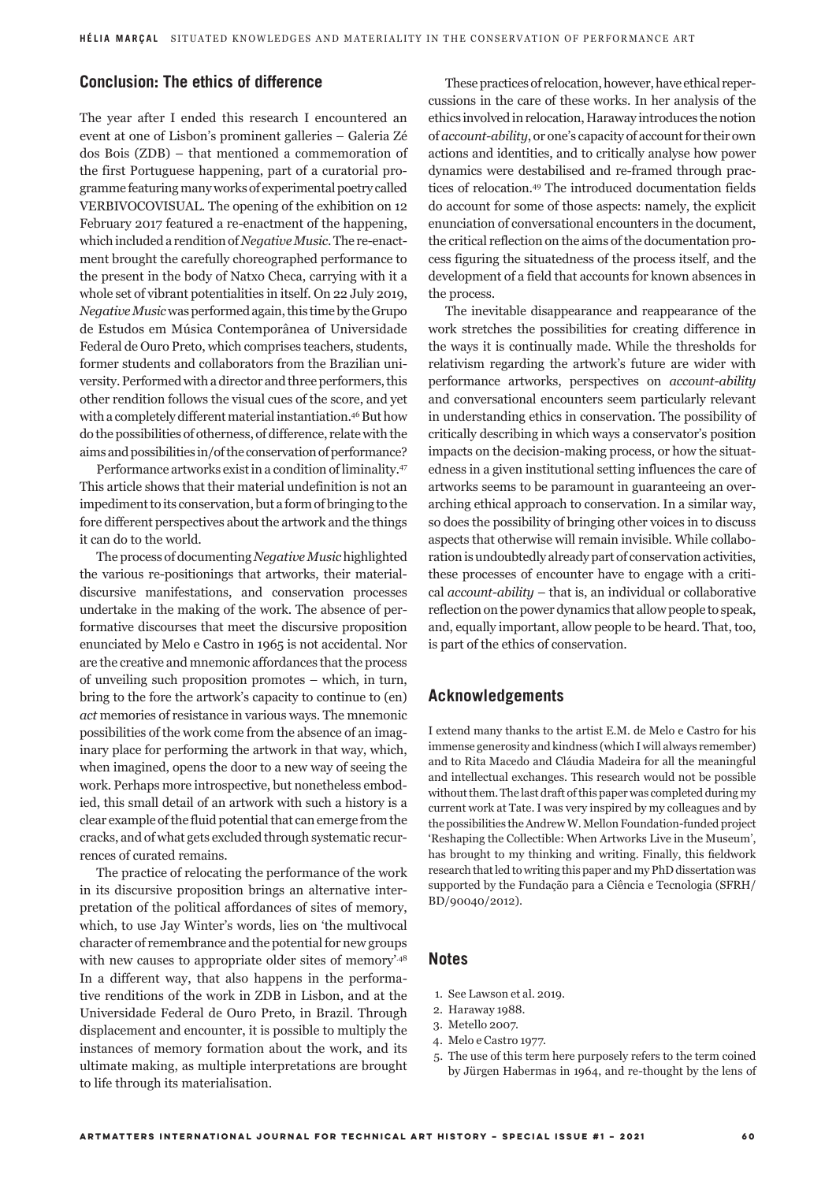# **Conclusion: The ethics of difference**

The year after I ended this research I encountered an event at one of Lisbon's prominent galleries – Galeria Zé dos Bois (ZDB) – that mentioned a commemoration of the first Portuguese happening, part of a curatorial programme featuring many works of experimental poetry called VERBIVOCOVISUAL. The opening of the exhibition on 12 February 2017 featured a re-enactment of the happening, which included a rendition of *Negative Music*. The re-enactment brought the carefully choreographed performance to the present in the body of Natxo Checa, carrying with it a whole set of vibrant potentialities in itself. On 22 July 2019, *Negative Music* was performed again, this time by the Grupo de Estudos em Música Contemporânea of Universidade Federal de Ouro Preto, which comprises teachers, students, former students and collaborators from the Brazilian university. Performed with a director and three performers, this other rendition follows the visual cues of the score, and yet with a completely different material instantiation.46 But how do the possibilities of otherness, of difference, relate with the aims and possibilities in/of the conservation of performance?

Performance artworks exist in a condition of liminality.47 This article shows that their material undefinition is not an impediment to its conservation, but a form of bringing to the fore different perspectives about the artwork and the things it can do to the world.

The process of documenting *Negative Music* highlighted the various re-positionings that artworks, their materialdiscursive manifestations, and conservation processes undertake in the making of the work. The absence of performative discourses that meet the discursive proposition enunciated by Melo e Castro in 1965 is not accidental. Nor are the creative and mnemonic affordances that the process of unveiling such proposition promotes – which, in turn, bring to the fore the artwork's capacity to continue to (en) *act* memories of resistance in various ways. The mnemonic possibilities of the work come from the absence of an imaginary place for performing the artwork in that way, which, when imagined, opens the door to a new way of seeing the work. Perhaps more introspective, but nonetheless embodied, this small detail of an artwork with such a history is a clear example of the fluid potential that can emerge from the cracks, and of what gets excluded through systematic recurrences of curated remains.

The practice of relocating the performance of the work in its discursive proposition brings an alternative interpretation of the political affordances of sites of memory, which, to use Jay Winter's words, lies on 'the multivocal character of remembrance and the potential for new groups with new causes to appropriate older sites of memory'.48 In a different way, that also happens in the performative renditions of the work in ZDB in Lisbon, and at the Universidade Federal de Ouro Preto, in Brazil. Through displacement and encounter, it is possible to multiply the instances of memory formation about the work, and its ultimate making, as multiple interpretations are brought to life through its materialisation.

These practices of relocation, however, have ethical repercussions in the care of these works. In her analysis of the ethics involved in relocation, Haraway introduces the notion of *account-ability*, or one's capacity of account for their own actions and identities, and to critically analyse how power dynamics were destabilised and re-framed through practices of relocation.49 The introduced documentation fields do account for some of those aspects: namely, the explicit enunciation of conversational encounters in the document, the critical reflection on the aims of the documentation process figuring the situatedness of the process itself, and the development of a field that accounts for known absences in the process.

The inevitable disappearance and reappearance of the work stretches the possibilities for creating difference in the ways it is continually made. While the thresholds for relativism regarding the artwork's future are wider with performance artworks, perspectives on *account-ability* and conversational encounters seem particularly relevant in understanding ethics in conservation. The possibility of critically describing in which ways a conservator's position impacts on the decision-making process, or how the situatedness in a given institutional setting influences the care of artworks seems to be paramount in guaranteeing an overarching ethical approach to conservation. In a similar way, so does the possibility of bringing other voices in to discuss aspects that otherwise will remain invisible. While collaboration is undoubtedly already part of conservation activities, these processes of encounter have to engage with a critical *account-ability* – that is, an individual or collaborative reflection on the power dynamics that allow people to speak, and, equally important, allow people to be heard. That, too, is part of the ethics of conservation.

#### **Acknowledgements**

I extend many thanks to the artist E.M. de Melo e Castro for his immense generosity and kindness (which I will always remember) and to Rita Macedo and Cláudia Madeira for all the meaningful and intellectual exchanges. This research would not be possible without them. The last draft of this paper was completed during my current work at Tate. I was very inspired by my colleagues and by the possibilities the Andrew W. Mellon Foundation-funded project 'Reshaping the Collectible: When Artworks Live in the Museum', has brought to my thinking and writing. Finally, this fieldwork research that led to writing this paper and my PhD dissertation was supported by the Fundação para a Ciência e Tecnologia (SFRH/ BD/90040/2012).

#### **Notes**

- 1. See Lawson et al. 2019.
- 2. Haraway 1988.
- 3. Metello 2007.
- 4. Melo e Castro 1977.
- 5. The use of this term here purposely refers to the term coined by Jürgen Habermas in 1964, and re-thought by the lens of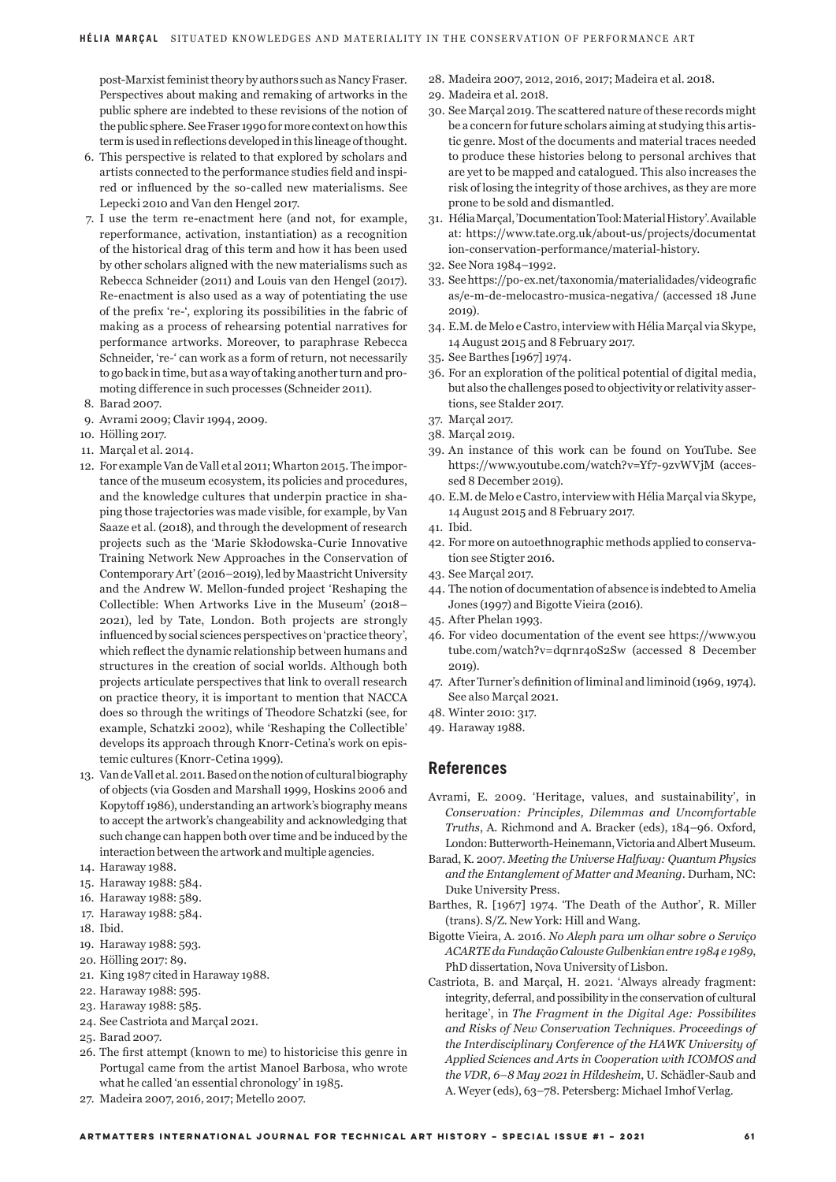post-Marxist feminist theory by authors such as Nancy Fraser. Perspectives about making and remaking of artworks in the public sphere are indebted to these revisions of the notion of the public sphere. See Fraser 1990 for more context on how this term is used in reflections developed in this lineage of thought.

- 6. This perspective is related to that explored by scholars and artists connected to the performance studies field and inspired or influenced by the so-called new materialisms. See Lepecki 2010 and Van den Hengel 2017.
- 7. I use the term re-enactment here (and not, for example, reperformance, activation, instantiation) as a recognition of the historical drag of this term and how it has been used by other scholars aligned with the new materialisms such as Rebecca Schneider (2011) and Louis van den Hengel (2017). Re-enactment is also used as a way of potentiating the use of the prefix 're-', exploring its possibilities in the fabric of making as a process of rehearsing potential narratives for performance artworks. Moreover, to paraphrase Rebecca Schneider, 're-' can work as a form of return, not necessarily to go back in time, but as a way of taking another turn and promoting difference in such processes (Schneider 2011).
- 8. Barad 2007.
- 9. Avrami 2009; Clavir 1994, 2009.
- 10. Hölling 2017.
- 11. Marçal et al. 2014.
- 12. For example Van de Vall et al 2011; Wharton 2015. The importance of the museum ecosystem, its policies and procedures, and the knowledge cultures that underpin practice in shaping those trajectories was made visible, for example, by Van Saaze et al. (2018), and through the development of research projects such as the 'Marie Skłodowska-Curie Innovative Training Network New Approaches in the Conservation of Contemporary Art' (2016–2019), led by Maastricht University and the Andrew W. Mellon-funded project 'Reshaping the Collectible: When Artworks Live in the Museum' (2018– 2021), led by Tate, London. Both projects are strongly influenced by social sciences perspectives on 'practice theory', which reflect the dynamic relationship between humans and structures in the creation of social worlds. Although both projects articulate perspectives that link to overall research on practice theory, it is important to mention that NACCA does so through the writings of Theodore Schatzki (see, for example, Schatzki 2002), while 'Reshaping the Collectible' develops its approach through Knorr-Cetina's work on epistemic cultures (Knorr-Cetina 1999).
- 13. Van de Vall et al. 2011. Based on the notion of cultural biography of objects (via Gosden and Marshall 1999, Hoskins 2006 and Kopytoff 1986), understanding an artwork's biography means to accept the artwork's changeability and acknowledging that such change can happen both over time and be induced by the interaction between the artwork and multiple agencies.
- 14. Haraway 1988.
- 15. Haraway 1988: 584.
- 16. Haraway 1988: 589.
- 17. Haraway 1988: 584.
- 18. Ibid.
- 19. Haraway 1988: 593.
- 20. Hölling 2017: 89.
- 21. King 1987 cited in Haraway 1988.
- 22. Haraway 1988: 595.
- 23. Haraway 1988: 585.
- 24. See Castriota and Marçal 2021.
- 25. Barad 2007.
- 26. The first attempt (known to me) to historicise this genre in Portugal came from the artist Manoel Barbosa, who wrote what he called 'an essential chronology' in 1985.
- 27. Madeira 2007, 2016, 2017; Metello 2007.
- 28. Madeira 2007, 2012, 2016, 2017; Madeira et al. 2018.
- 29. Madeira et al. 2018.
- 30. See Marçal 2019. The scattered nature of these records might be a concern for future scholars aiming at studying this artistic genre. Most of the documents and material traces needed to produce these histories belong to personal archives that are yet to be mapped and catalogued. This also increases the risk of losing the integrity of those archives, as they are more prone to be sold and dismantled.
- 31. Hélia Marçal, 'Documentation Tool: Material History'. Available at: https://www.tate.org.uk/about-us/projects/documentat ion-conservation-performance/material-history.
- 32. See Nora 1984–1992.
- 33. See https://po-ex.net/taxonomia/materialidades/videografic as/e-m-de-melocastro-musica-negativa/ (accessed 18 June 2019).
- 34. E.M. de Melo e Castro, interview with Hélia Marçal via Skype, 14 August 2015 and 8 February 2017.
- 35. See Barthes [1967] 1974.
- 36. For an exploration of the political potential of digital media, but also the challenges posed to objectivity or relativity assertions, see Stalder 2017.
- 37. Marçal 2017.
- 38. Marçal 2019.
- 39. An instance of this work can be found on YouTube. See https://www.youtube.com/watch?v=Yf7-9zvWVjM (accessed 8 December 2019).
- 40. E.M. de Melo e Castro, interview with Hélia Marçal via Skype, 14 August 2015 and 8 February 2017.
- 41. Ibid.
- 42. For more on autoethnographic methods applied to conservation see Stigter 2016.
- 43. See Marçal 2017.
- 44. The notion of documentation of absence is indebted to Amelia Jones (1997) and Bigotte Vieira (2016).
- 45. After Phelan 1993.
- 46. For video documentation of the event see https://www.you tube.com/watch?v=dqrnr4oS2Sw (accessed 8 December 2019).
- 47. After Turner's definition of liminal and liminoid (1969, 1974). See also Marçal 2021.
- 48. Winter 2010: 317.
- 49. Haraway 1988.

#### **References**

- Avrami, E. 2009. 'Heritage, values, and sustainability', in *Conservation: Principles, Dilemmas and Uncomfortable Truths*, A. Richmond and A. Bracker (eds), 184–96. Oxford, London: Butterworth-Heinemann, Victoria and Albert Museum.
- Barad, K. 2007. *Meeting the Universe Halfway: Quantum Physics and the Entanglement of Matter and Meaning*. Durham, NC: Duke University Press.
- Barthes, R. [1967] 1974. 'The Death of the Author', R. Miller (trans). S/Z. New York: Hill and Wang.
- Bigotte Vieira, A. 2016. *No Aleph para um olhar sobre o Serviço ACARTE da Fundação Calouste Gulbenkian entre 1984 e 1989*, PhD dissertation, Nova University of Lisbon.
- Castriota, B. and Marçal, H. 2021. 'Always already fragment: integrity, deferral, and possibility in the conservation of cultural heritage', in *The Fragment in the Digital Age: Possibilites and Risks of New Conservation Techniques. Proceedings of the Interdisciplinary Conference of the HAWK University of Applied Sciences and Arts in Cooperation with ICOMOS and the VDR, 6–8 May 2021 in Hildesheim*, U. Schädler-Saub and A. Weyer (eds), 63–78. Petersberg: Michael Imhof Verlag.